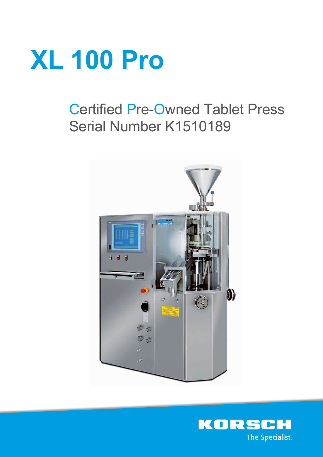

# Certified Pre-Owned Tablet Press Serial Number K1510189



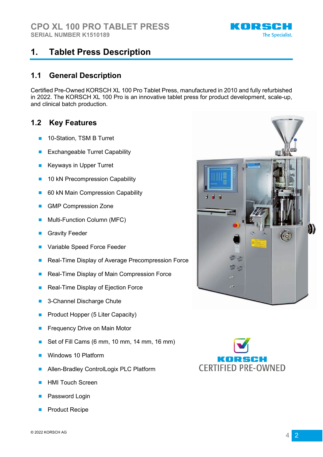

# **1. Tablet Press Description**

#### **1.1 General Description**

Certified Pre-Owned KORSCH XL 100 Pro Tablet Press, manufactured in 2010 and fully refurbished in 2022. The KORSCH XL 100 Pro is an innovative tablet press for product development, scale-up, and clinical batch production.

### **1.2 Key Features**

- 10-Station, TSM B Turret
- **Exchangeable Turret Capability**
- **Keyways in Upper Turret**
- 10 kN Precompression Capability
- 60 kN Main Compression Capability
- GMP Compression Zone
- Multi-Function Column (MFC)
- **Gravity Feeder**
- Variable Speed Force Feeder
- Real-Time Display of Average Precompression Force
- Real-Time Display of Main Compression Force
- Real-Time Display of Ejection Force
- 3-Channel Discharge Chute
- Product Hopper (5 Liter Capacity)
- **Frequency Drive on Main Motor**
- Set of Fill Cams (6 mm, 10 mm, 14 mm, 16 mm)
- Windows 10 Platform
- Allen-Bradley ControlLogix PLC Platform
- **HMI Touch Screen**
- Password Login
- **Product Recipe**



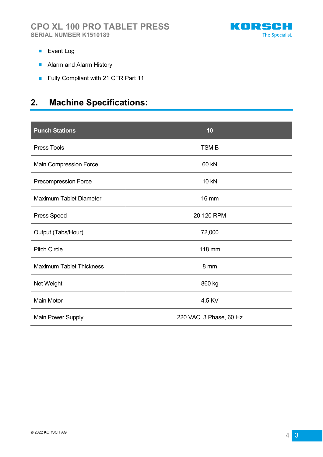

- Event Log
- Alarm and Alarm History
- Fully Compliant with 21 CFR Part 11

# **2. Machine Specifications:**

| <b>Punch Stations</b>           | 10                      |
|---------------------------------|-------------------------|
| <b>Press Tools</b>              | <b>TSMB</b>             |
| Main Compression Force          | 60 kN                   |
| Precompression Force            | <b>10 kN</b>            |
| <b>Maximum Tablet Diameter</b>  | <b>16 mm</b>            |
| <b>Press Speed</b>              | 20-120 RPM              |
| Output (Tabs/Hour)              | 72,000                  |
| <b>Pitch Circle</b>             | 118 mm                  |
| <b>Maximum Tablet Thickness</b> | 8 mm                    |
| Net Weight                      | 860 kg                  |
| <b>Main Motor</b>               | 4.5 KV                  |
| <b>Main Power Supply</b>        | 220 VAC, 3 Phase, 60 Hz |